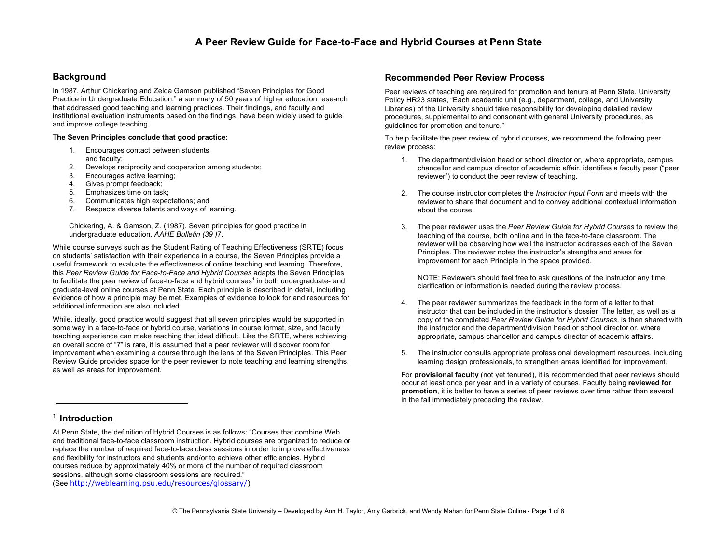#### **Background**

In 1987, Arthur Chickering and Zelda Gamson published "Seven Principles for Good Practice in Undergraduate Education," a summary of 50 years of higher education research that addressed good teaching and learning practices. Their findings, and faculty and institutional evaluation instruments based on the findings, have been widely used to guide and improve college teaching.

#### T**he Seven Principles conclude that good practice:**

- 1. Encourages contact between students and faculty;
- 2. Develops reciprocity and cooperation among students;
- 3. Encourages active learning;
- 4. Gives prompt feedback;
- 5. Emphasizes time on task;
- 6. Communicates high expectations; and
- 7. Respects diverse talents and ways of learning.

Chickering, A. & Gamson, Z. (1987). Seven principles for good practice in undergraduate education. *AAHE Bulletin (39 )*7.

While course surveys such as the Student Rating of Teaching Effectiveness (SRTE) focus on students' satisfaction with their experience in a course, the Seven Principles provide a useful framework to evaluate the effectiveness of online teaching and learning. Therefore, this *Peer Review Guide for Face-to-Face and Hybrid Courses* adapts the Seven Principles to facilitate the peer review of face-to-face and hybrid courses<sup>1</sup> in both undergraduate- and graduate-level online courses at Penn State. Each principle is described in detail, including evidence of how a principle may be met. Examples of evidence to look for and resources for additional information are also included.

While, ideally, good practice would suggest that all seven principles would be supported in some way in a face-to-face or hybrid course, variations in course format, size, and faculty teaching experience can make reaching that ideal difficult. Like the SRTE, where achieving an overall score of "7" is rare, it is assumed that a peer reviewer will discover room for improvement when examining a course through the lens of the Seven Principles. This Peer Review Guide provides space for the peer reviewer to note teaching and learning strengths, as well as areas for improvement.

#### <sup>1</sup> **Introduction**

1

At Penn State, the definition of Hybrid Courses is as follows: "Courses that combine Web and traditional face-to-face classroom instruction. Hybrid courses are organized to reduce or replace the number of required face-to-face class sessions in order to improve effectiveness and flexibility for instructors and students and/or to achieve other efficiencies. Hybrid courses reduce by approximately 40% or more of the number of required classroom sessions, although some classroom sessions are required."

(See http://weblearning.psu.edu/resources/glossary/)

#### **Recommended Peer Review Process**

Peer reviews of teaching are required for promotion and tenure at Penn State. University Policy HR23 states, "Each academic unit (e.g., department, college, and University Libraries) of the University should take responsibility for developing detailed review procedures, supplemental to and consonant with general University procedures, as guidelines for promotion and tenure."

To help facilitate the peer review of hybrid courses, we recommend the following peer review process:

- 1. The department/division head or school director or, where appropriate, campus chancellor and campus director of academic affair, identifies a faculty peer ("peer reviewer") to conduct the peer review of teaching.
- 2. The course instructor completes the *Instructor Input Form* and meets with the reviewer to share that document and to convey additional contextual information about the course.
- 3. The peer reviewer uses the *Peer Review Guide for Hybrid Courses* to review the teaching of the course, both online and in the face-to-face classroom. The reviewer will be observing how well the instructor addresses each of the Seven Principles. The reviewer notes the instructor's strengths and areas for improvement for each Principle in the space provided.

NOTE: Reviewers should feel free to ask questions of the instructor any time clarification or information is needed during the review process.

- 4. The peer reviewer summarizes the feedback in the form of a letter to that instructor that can be included in the instructor's dossier. The letter, as well as a copy of the completed *Peer Review Guide for Hybrid Courses*, is then shared with the instructor and the department/division head or school director or, where appropriate, campus chancellor and campus director of academic affairs.
- 5. The instructor consults appropriate professional development resources, including learning design professionals, to strengthen areas identified for improvement.

For **provisional faculty** (not yet tenured), it is recommended that peer reviews should occur at least once per year and in a variety of courses. Faculty being **reviewed for promotion**, it is better to have a series of peer reviews over time rather than several in the fall immediately preceding the review.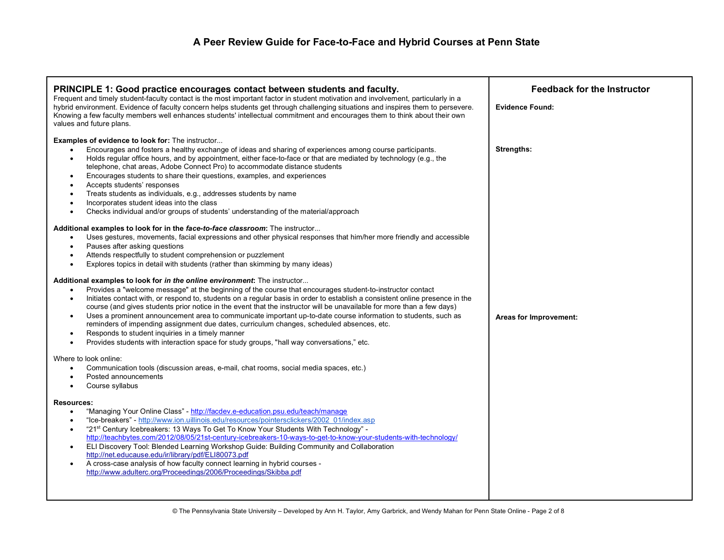| PRINCIPLE 1: Good practice encourages contact between students and faculty.<br>Frequent and timely student-faculty contact is the most important factor in student motivation and involvement, particularly in a<br>hybrid environment. Evidence of faculty concern helps students get through challenging situations and inspires them to persevere.<br>Knowing a few faculty members well enhances students' intellectual commitment and encourages them to think about their own<br>values and future plans.                                                                                                                                                                                                                                                                                                                                                                   | <b>Feedback for the Instructor</b><br><b>Evidence Found:</b> |
|-----------------------------------------------------------------------------------------------------------------------------------------------------------------------------------------------------------------------------------------------------------------------------------------------------------------------------------------------------------------------------------------------------------------------------------------------------------------------------------------------------------------------------------------------------------------------------------------------------------------------------------------------------------------------------------------------------------------------------------------------------------------------------------------------------------------------------------------------------------------------------------|--------------------------------------------------------------|
| <b>Examples of evidence to look for:</b> The instructor<br>Encourages and fosters a healthy exchange of ideas and sharing of experiences among course participants.<br>$\bullet$<br>Holds regular office hours, and by appointment, either face-to-face or that are mediated by technology (e.g., the<br>$\bullet$<br>telephone, chat areas, Adobe Connect Pro) to accommodate distance students<br>Encourages students to share their questions, examples, and experiences<br>$\bullet$<br>Accepts students' responses<br>$\bullet$<br>Treats students as individuals, e.g., addresses students by name<br>٠<br>Incorporates student ideas into the class<br>$\bullet$<br>Checks individual and/or groups of students' understanding of the material/approach<br>$\bullet$                                                                                                       | <b>Strengths:</b>                                            |
| Additional examples to look for in the face-to-face classroom: The instructor<br>Uses gestures, movements, facial expressions and other physical responses that him/her more friendly and accessible<br>$\bullet$<br>Pauses after asking questions<br>$\bullet$<br>Attends respectfully to student comprehension or puzzlement<br>$\bullet$<br>Explores topics in detail with students (rather than skimming by many ideas)<br>$\bullet$                                                                                                                                                                                                                                                                                                                                                                                                                                          |                                                              |
| Additional examples to look for in the online environment: The instructor<br>Provides a "welcome message" at the beginning of the course that encourages student-to-instructor contact<br>$\bullet$<br>Initiates contact with, or respond to, students on a regular basis in order to establish a consistent online presence in the<br>$\bullet$<br>course (and gives students prior notice in the event that the instructor will be unavailable for more than a few days)<br>Uses a prominent announcement area to communicate important up-to-date course information to students, such as<br>$\bullet$<br>reminders of impending assignment due dates, curriculum changes, scheduled absences, etc.<br>Responds to student inquiries in a timely manner<br>$\bullet$<br>Provides students with interaction space for study groups, "hall way conversations," etc.<br>$\bullet$ | Areas for Improvement:                                       |
| Where to look online:<br>Communication tools (discussion areas, e-mail, chat rooms, social media spaces, etc.)<br>$\bullet$<br>Posted announcements<br>Course syllabus<br>$\bullet$                                                                                                                                                                                                                                                                                                                                                                                                                                                                                                                                                                                                                                                                                               |                                                              |
| <b>Resources:</b><br>"Managing Your Online Class" - http://facdev.e-education.psu.edu/teach/manage<br>$\bullet$<br>"Ice-breakers" - http://www.ion.uillinois.edu/resources/pointersclickers/2002_01/index.asp<br>$\bullet$<br>"21 <sup>st</sup> Century Icebreakers: 13 Ways To Get To Know Your Students With Technology" -<br>$\bullet$<br>http://teachbytes.com/2012/08/05/21st-century-icebreakers-10-ways-to-get-to-know-your-students-with-technology/<br>ELI Discovery Tool: Blended Learning Workshop Guide: Building Community and Collaboration<br>$\bullet$<br>http://net.educause.edu/ir/library/pdf/ELI80073.pdf<br>A cross-case analysis of how faculty connect learning in hybrid courses -<br>$\bullet$<br>http://www.adulterc.org/Proceedings/2006/Proceedings/Skibba.pdf                                                                                        |                                                              |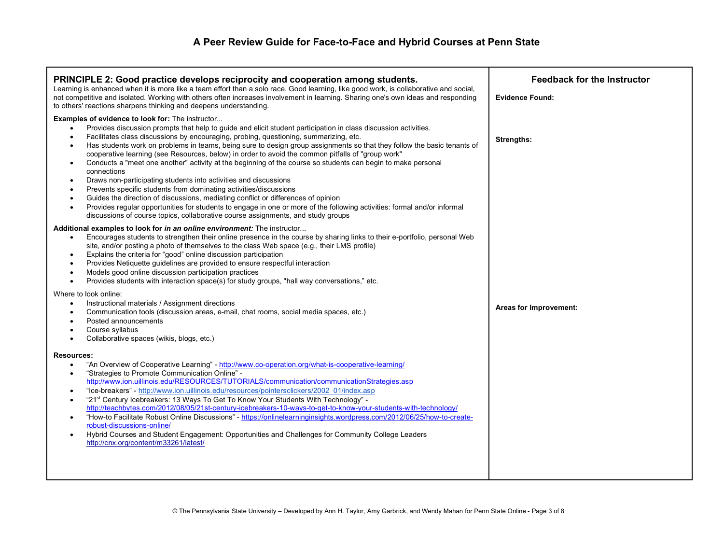| <b>PRINCIPLE 2: Good practice develops reciprocity and cooperation among students.</b><br>Learning is enhanced when it is more like a team effort than a solo race. Good learning, like good work, is collaborative and social,<br>not competitive and isolated. Working with others often increases involvement in learning. Sharing one's own ideas and responding<br>to others' reactions sharpens thinking and deepens understanding.<br>Examples of evidence to look for: The instructor<br>Provides discussion prompts that help to guide and elicit student participation in class discussion activities.<br>$\bullet$<br>Facilitates class discussions by encouraging, probing, questioning, summarizing, etc.<br>$\bullet$<br>Has students work on problems in teams, being sure to design group assignments so that they follow the basic tenants of<br>٠<br>cooperative learning (see Resources, below) in order to avoid the common pitfalls of "group work"      | <b>Feedback for the Instructor</b><br><b>Evidence Found:</b><br><b>Strengths:</b> |
|-------------------------------------------------------------------------------------------------------------------------------------------------------------------------------------------------------------------------------------------------------------------------------------------------------------------------------------------------------------------------------------------------------------------------------------------------------------------------------------------------------------------------------------------------------------------------------------------------------------------------------------------------------------------------------------------------------------------------------------------------------------------------------------------------------------------------------------------------------------------------------------------------------------------------------------------------------------------------------|-----------------------------------------------------------------------------------|
| Conducts a "meet one another" activity at the beginning of the course so students can begin to make personal<br>$\bullet$<br>connections<br>Draws non-participating students into activities and discussions<br>$\bullet$<br>Prevents specific students from dominating activities/discussions<br>٠<br>Guides the direction of discussions, mediating conflict or differences of opinion<br>$\bullet$<br>Provides regular opportunities for students to engage in one or more of the following activities: formal and/or informal<br>$\bullet$<br>discussions of course topics, collaborative course assignments, and study groups                                                                                                                                                                                                                                                                                                                                            |                                                                                   |
| Additional examples to look for in an online environment: The instructor<br>Encourages students to strengthen their online presence in the course by sharing links to their e-portfolio, personal Web<br>$\bullet$<br>site, and/or posting a photo of themselves to the class Web space (e.g., their LMS profile)<br>Explains the criteria for "good" online discussion participation<br>٠<br>Provides Netiquette guidelines are provided to ensure respectful interaction<br>$\bullet$<br>Models good online discussion participation practices<br>$\bullet$<br>Provides students with interaction space(s) for study groups, "hall way conversations," etc.<br>$\bullet$                                                                                                                                                                                                                                                                                                    |                                                                                   |
| Where to look online:<br>Instructional materials / Assignment directions<br>$\bullet$<br>Communication tools (discussion areas, e-mail, chat rooms, social media spaces, etc.)<br>٠<br>Posted announcements<br>Course syllabus<br>$\bullet$<br>Collaborative spaces (wikis, blogs, etc.)<br>$\bullet$                                                                                                                                                                                                                                                                                                                                                                                                                                                                                                                                                                                                                                                                         | Areas for Improvement:                                                            |
| <b>Resources:</b><br>"An Overview of Cooperative Learning" - http://www.co-operation.org/what-is-cooperative-learning/<br>$\bullet$<br>"Strategies to Promote Communication Online" -<br>$\bullet$<br>http://www.ion.uillinois.edu/RESOURCES/TUTORIALS/communication/communicationStrategies.asp<br>"Ice-breakers" - http://www.ion.uillinois.edu/resources/pointersclickers/2002_01/index.asp<br>$\bullet$<br>"21 <sup>st</sup> Century Icebreakers: 13 Ways To Get To Know Your Students With Technology" -<br>$\bullet$<br>http://teachbytes.com/2012/08/05/21st-century-icebreakers-10-ways-to-get-to-know-your-students-with-technology/<br>"How-to Facilitate Robust Online Discussions" - https://onlinelearninginsights.wordpress.com/2012/06/25/how-to-create-<br>$\bullet$<br>robust-discussions-online/<br>Hybrid Courses and Student Engagement: Opportunities and Challenges for Community College Leaders<br>$\bullet$<br>http://cnx.org/content/m33261/latest/ |                                                                                   |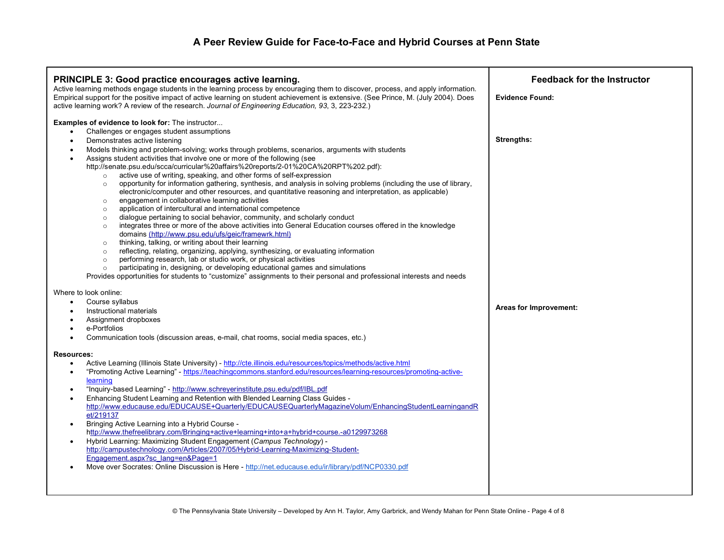| <b>PRINCIPLE 3: Good practice encourages active learning.</b><br>Active learning methods engage students in the learning process by encouraging them to discover, process, and apply information.<br>Empirical support for the positive impact of active learning on student achievement is extensive. (See Prince, M. (July 2004). Does<br>active learning work? A review of the research. Journal of Engineering Education, 93, 3, 223-232.)                                                                                                                                                                                                                                                                                                                                                                                                                                                                                                                                                                                                                                                                                                                                                                                                                                                                                                                                                                                                                                                                                                                                                                                        | <b>Feedback for the Instructor</b><br><b>Evidence Found:</b> |
|---------------------------------------------------------------------------------------------------------------------------------------------------------------------------------------------------------------------------------------------------------------------------------------------------------------------------------------------------------------------------------------------------------------------------------------------------------------------------------------------------------------------------------------------------------------------------------------------------------------------------------------------------------------------------------------------------------------------------------------------------------------------------------------------------------------------------------------------------------------------------------------------------------------------------------------------------------------------------------------------------------------------------------------------------------------------------------------------------------------------------------------------------------------------------------------------------------------------------------------------------------------------------------------------------------------------------------------------------------------------------------------------------------------------------------------------------------------------------------------------------------------------------------------------------------------------------------------------------------------------------------------|--------------------------------------------------------------|
| <b>Examples of evidence to look for:</b> The instructor<br>Challenges or engages student assumptions<br>Demonstrates active listening<br>$\bullet$<br>Models thinking and problem-solving; works through problems, scenarios, arguments with students<br>Assigns student activities that involve one or more of the following (see<br>http://senate.psu.edu/scca/curricular%20affairs%20reports/2-01%20CA%20RPT%202.pdf):<br>active use of writing, speaking, and other forms of self-expression<br>$\circ$<br>opportunity for information gathering, synthesis, and analysis in solving problems (including the use of library,<br>$\circ$<br>electronic/computer and other resources, and quantitative reasoning and interpretation, as applicable)<br>engagement in collaborative learning activities<br>$\circ$<br>application of intercultural and international competence<br>$\circ$<br>dialogue pertaining to social behavior, community, and scholarly conduct<br>$\circ$<br>integrates three or more of the above activities into General Education courses offered in the knowledge<br>$\circ$<br>domains (http://www.psu.edu/ufs/geic/framewrk.html)<br>thinking, talking, or writing about their learning<br>$\circ$<br>reflecting, relating, organizing, applying, synthesizing, or evaluating information<br>$\circ$<br>performing research, lab or studio work, or physical activities<br>$\circ$<br>participating in, designing, or developing educational games and simulations<br>$\circ$<br>Provides opportunities for students to "customize" assignments to their personal and professional interests and needs | Strengths:                                                   |
| Where to look online:<br>Course syllabus<br>$\bullet$<br>Instructional materials<br>Assignment dropboxes<br>e-Portfolios<br>Communication tools (discussion areas, e-mail, chat rooms, social media spaces, etc.)<br><b>Resources:</b><br>Active Learning (Illinois State University) - http://cte.illinois.edu/resources/topics/methods/active.html<br>$\bullet$<br>"Promoting Active Learning" - https://teachingcommons.stanford.edu/resources/learning-resources/promoting-active-<br>learning<br>"Inquiry-based Learning" - http://www.schreyerinstitute.psu.edu/pdf/IBL.pdf<br>Enhancing Student Learning and Retention with Blended Learning Class Guides -<br>$\bullet$<br>http://www.educause.edu/EDUCAUSE+Quarterly/EDUCAUSEQuarterlyMagazineVolum/EnhancingStudentLearningandR<br>et/219137<br>Bringing Active Learning into a Hybrid Course -<br>$\bullet$<br>http://www.thefreelibrary.com/Bringing+active+learning+into+a+hybrid+course.-a0129973268<br>Hybrid Learning: Maximizing Student Engagement (Campus Technology) -<br>http://campustechnology.com/Articles/2007/05/Hybrid-Learning-Maximizing-Student-<br>Engagement.aspx?sc lang=en&Page=1<br>Move over Socrates: Online Discussion is Here - http://net.educause.edu/ir/library/pdf/NCP0330.pdf                                                                                                                                                                                                                                                                                                                                                             | Areas for Improvement:                                       |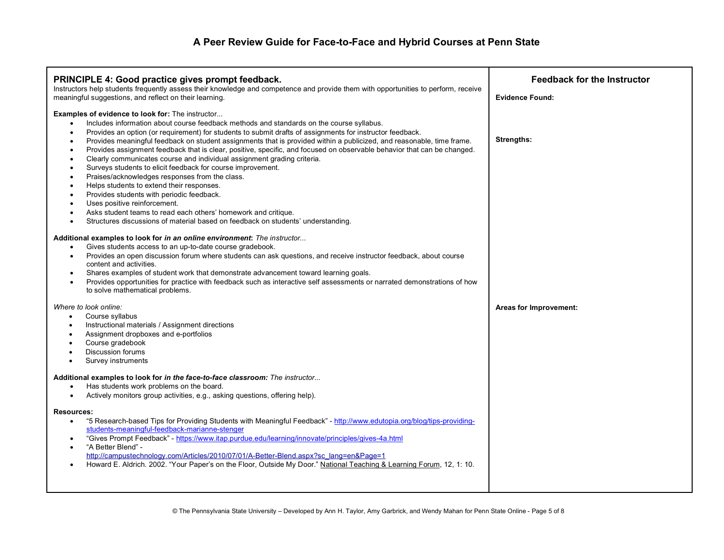| PRINCIPLE 4: Good practice gives prompt feedback.<br>Instructors help students frequently assess their knowledge and competence and provide them with opportunities to perform, receive<br>meaningful suggestions, and reflect on their learning.                                                                                                                                                                                                                                                                                                                                                                                                                                                                                                                                                                                                                                                                                                                                                                                                                                                                  | <b>Feedback for the Instructor</b><br><b>Evidence Found:</b> |
|--------------------------------------------------------------------------------------------------------------------------------------------------------------------------------------------------------------------------------------------------------------------------------------------------------------------------------------------------------------------------------------------------------------------------------------------------------------------------------------------------------------------------------------------------------------------------------------------------------------------------------------------------------------------------------------------------------------------------------------------------------------------------------------------------------------------------------------------------------------------------------------------------------------------------------------------------------------------------------------------------------------------------------------------------------------------------------------------------------------------|--------------------------------------------------------------|
| <b>Examples of evidence to look for:</b> The instructor<br>Includes information about course feedback methods and standards on the course syllabus.<br>$\bullet$<br>Provides an option (or requirement) for students to submit drafts of assignments for instructor feedback.<br>$\bullet$<br>Provides meaningful feedback on student assignments that is provided within a publicized, and reasonable, time frame.<br>٠<br>Provides assignment feedback that is clear, positive, specific, and focused on observable behavior that can be changed.<br>$\bullet$<br>Clearly communicates course and individual assignment grading criteria.<br>$\bullet$<br>Surveys students to elicit feedback for course improvement.<br>٠<br>Praises/acknowledges responses from the class.<br>$\bullet$<br>Helps students to extend their responses.<br>Provides students with periodic feedback.<br>$\bullet$<br>Uses positive reinforcement.<br>$\bullet$<br>Asks student teams to read each others' homework and critique.<br>Structures discussions of material based on feedback on students' understanding.<br>$\bullet$ | <b>Strengths:</b>                                            |
| Additional examples to look for in an online environment: The instructor<br>Gives students access to an up-to-date course gradebook.<br>$\bullet$<br>Provides an open discussion forum where students can ask questions, and receive instructor feedback, about course<br>$\bullet$<br>content and activities.<br>Shares examples of student work that demonstrate advancement toward learning goals.<br>$\bullet$<br>Provides opportunities for practice with feedback such as interactive self assessments or narrated demonstrations of how<br>$\bullet$<br>to solve mathematical problems.                                                                                                                                                                                                                                                                                                                                                                                                                                                                                                                     |                                                              |
| Where to look online:<br>Course syllabus<br>$\bullet$<br>Instructional materials / Assignment directions<br>$\bullet$<br>Assignment dropboxes and e-portfolios<br>Course gradebook<br><b>Discussion forums</b><br>$\bullet$<br>Survey instruments<br>$\bullet$                                                                                                                                                                                                                                                                                                                                                                                                                                                                                                                                                                                                                                                                                                                                                                                                                                                     | Areas for Improvement:                                       |
| Additional examples to look for in the face-to-face classroom: The instructor<br>Has students work problems on the board.<br>$\bullet$<br>Actively monitors group activities, e.g., asking questions, offering help).<br>$\bullet$                                                                                                                                                                                                                                                                                                                                                                                                                                                                                                                                                                                                                                                                                                                                                                                                                                                                                 |                                                              |
| <b>Resources:</b><br>"5 Research-based Tips for Providing Students with Meaningful Feedback" - http://www.edutopia.org/blog/tips-providing-<br>$\bullet$<br>students-meaningful-feedback-marianne-stenger<br>"Gives Prompt Feedback" - https://www.itap.purdue.edu/learning/innovate/principles/qives-4a.html<br>$\bullet$<br>"A Better Blend" -<br>$\bullet$<br>http://campustechnology.com/Articles/2010/07/01/A-Better-Blend.aspx?sc_lang=en&Page=1<br>Howard E. Aldrich. 2002. "Your Paper's on the Floor, Outside My Door." National Teaching & Learning Forum, 12, 1: 10.<br>$\bullet$                                                                                                                                                                                                                                                                                                                                                                                                                                                                                                                       |                                                              |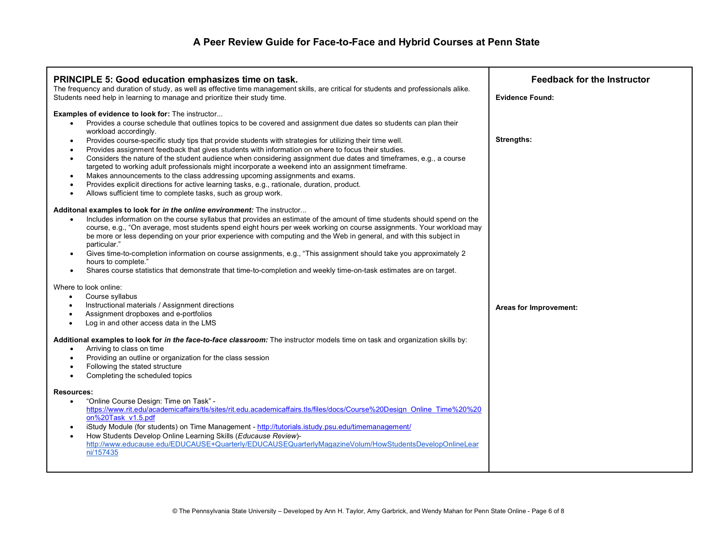| PRINCIPLE 5: Good education emphasizes time on task.<br>The frequency and duration of study, as well as effective time management skills, are critical for students and professionals alike.<br>Students need help in learning to manage and prioritize their study time.                                                                                                                                                                                                                                                                                                                                                                                                                                                                                                                                                                                                                                                                                  | <b>Feedback for the Instructor</b><br><b>Evidence Found:</b> |
|------------------------------------------------------------------------------------------------------------------------------------------------------------------------------------------------------------------------------------------------------------------------------------------------------------------------------------------------------------------------------------------------------------------------------------------------------------------------------------------------------------------------------------------------------------------------------------------------------------------------------------------------------------------------------------------------------------------------------------------------------------------------------------------------------------------------------------------------------------------------------------------------------------------------------------------------------------|--------------------------------------------------------------|
| Examples of evidence to look for: The instructor<br>Provides a course schedule that outlines topics to be covered and assignment due dates so students can plan their<br>$\bullet$<br>workload accordingly.<br>Provides course-specific study tips that provide students with strategies for utilizing their time well.<br>$\bullet$<br>Provides assignment feedback that gives students with information on where to focus their studies.<br>$\bullet$<br>Considers the nature of the student audience when considering assignment due dates and timeframes, e.g., a course<br>targeted to working adult professionals might incorporate a weekend into an assignment timeframe.<br>Makes announcements to the class addressing upcoming assignments and exams.<br>Provides explicit directions for active learning tasks, e.g., rationale, duration, product.<br>$\bullet$<br>Allows sufficient time to complete tasks, such as group work.<br>$\bullet$ | <b>Strengths:</b>                                            |
| Additonal examples to look for in the online environment: The instructor<br>Includes information on the course syllabus that provides an estimate of the amount of time students should spend on the<br>$\bullet$<br>course, e.g., "On average, most students spend eight hours per week working on course assignments. Your workload may<br>be more or less depending on your prior experience with computing and the Web in general, and with this subject in<br>particular."<br>Gives time-to-completion information on course assignments, e.g., "This assignment should take you approximately 2<br>hours to complete."<br>Shares course statistics that demonstrate that time-to-completion and weekly time-on-task estimates are on target.                                                                                                                                                                                                         |                                                              |
| Where to look online:<br>Course syllabus<br>$\bullet$<br>Instructional materials / Assignment directions<br>$\bullet$<br>Assignment dropboxes and e-portfolios<br>$\bullet$<br>Log in and other access data in the LMS<br>$\bullet$                                                                                                                                                                                                                                                                                                                                                                                                                                                                                                                                                                                                                                                                                                                        | Areas for Improvement:                                       |
| Additional examples to look for in the face-to-face classroom: The instructor models time on task and organization skills by:<br>Arriving to class on time<br>Providing an outline or organization for the class session<br>Following the stated structure<br>Completing the scheduled topics<br>$\bullet$                                                                                                                                                                                                                                                                                                                                                                                                                                                                                                                                                                                                                                                 |                                                              |
| <b>Resources:</b><br>"Online Course Design: Time on Task" -<br>$\bullet$<br>https://www.rit.edu/academicaffairs/tls/sites/rit.edu.academicaffairs.tls/files/docs/Course%20Design_Online_Time%20%20<br>on%20Task v1.5.pdf<br>iStudy Module (for students) on Time Management - http://tutorials.istudy.psu.edu/timemanagement/<br>$\bullet$<br>How Students Develop Online Learning Skills (Educause Review)-<br>$\bullet$<br>http://www.educause.edu/EDUCAUSE+Quarterly/EDUCAUSEQuarterlyMagazineVolum/HowStudentsDevelopOnlineLear<br>ni/157435                                                                                                                                                                                                                                                                                                                                                                                                           |                                                              |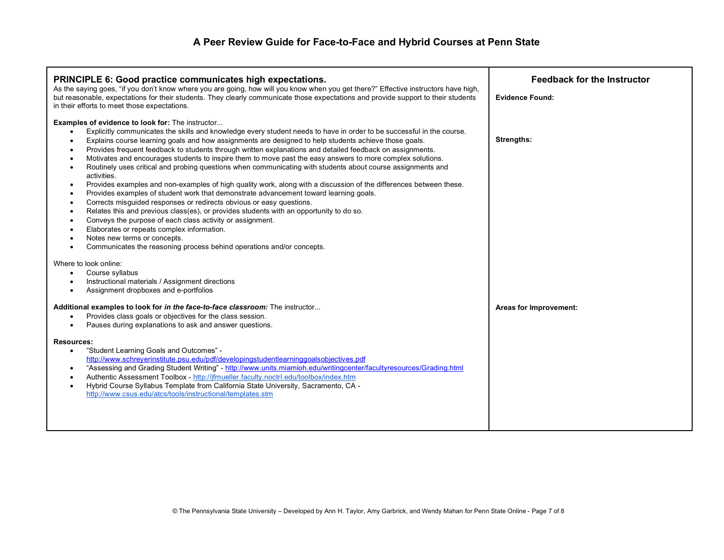| <b>PRINCIPLE 6: Good practice communicates high expectations.</b><br>As the saying goes, "if you don't know where you are going, how will you know when you get there?" Effective instructors have high,<br>but reasonable, expectations for their students. They clearly communicate those expectations and provide support to their students<br>in their efforts to meet those expectations.                                                                                                                                                                                                                                                                                                                                                                                                                                                                                                                                                                                                                                                                                                                                                                                                                                                                                                                                                                                                                                                                                                                                                                         | <b>Feedback for the Instructor</b><br><b>Evidence Found:</b> |
|------------------------------------------------------------------------------------------------------------------------------------------------------------------------------------------------------------------------------------------------------------------------------------------------------------------------------------------------------------------------------------------------------------------------------------------------------------------------------------------------------------------------------------------------------------------------------------------------------------------------------------------------------------------------------------------------------------------------------------------------------------------------------------------------------------------------------------------------------------------------------------------------------------------------------------------------------------------------------------------------------------------------------------------------------------------------------------------------------------------------------------------------------------------------------------------------------------------------------------------------------------------------------------------------------------------------------------------------------------------------------------------------------------------------------------------------------------------------------------------------------------------------------------------------------------------------|--------------------------------------------------------------|
| <b>Examples of evidence to look for:</b> The instructor<br>Explicitly communicates the skills and knowledge every student needs to have in order to be successful in the course.<br>$\bullet$<br>Explains course learning goals and how assignments are designed to help students achieve those goals.<br>$\bullet$<br>Provides frequent feedback to students through written explanations and detailed feedback on assignments.<br>$\bullet$<br>Motivates and encourages students to inspire them to move past the easy answers to more complex solutions.<br>Routinely uses critical and probing questions when communicating with students about course assignments and<br>$\bullet$<br>activities.<br>Provides examples and non-examples of high quality work, along with a discussion of the differences between these.<br>$\bullet$<br>Provides examples of student work that demonstrate advancement toward learning goals.<br>٠<br>Corrects misguided responses or redirects obvious or easy questions.<br>$\bullet$<br>Relates this and previous class(es), or provides students with an opportunity to do so.<br>٠<br>Conveys the purpose of each class activity or assignment.<br>$\bullet$<br>Elaborates or repeats complex information.<br>Notes new terms or concepts.<br>$\bullet$<br>Communicates the reasoning process behind operations and/or concepts.<br>$\bullet$<br>Where to look online:<br>Course syllabus<br>$\bullet$<br>Instructional materials / Assignment directions<br>$\bullet$<br>Assignment dropboxes and e-portfolios<br>$\bullet$ | <b>Strengths:</b>                                            |
| Additional examples to look for in the face-to-face classroom: The instructor<br>Provides class goals or objectives for the class session.<br>$\bullet$<br>Pauses during explanations to ask and answer questions.<br>$\bullet$                                                                                                                                                                                                                                                                                                                                                                                                                                                                                                                                                                                                                                                                                                                                                                                                                                                                                                                                                                                                                                                                                                                                                                                                                                                                                                                                        | Areas for Improvement:                                       |
| <b>Resources:</b><br>"Student Learning Goals and Outcomes" -<br>$\bullet$<br>http://www.schreyerinstitute.psu.edu/pdf/developingstudentlearninggoalsobjectives.pdf<br>"Assessing and Grading Student Writing" - http://www.units.miamioh.edu/writingcenter/facultyresources/Grading.html<br>$\bullet$<br>Authentic Assessment Toolbox - http://jfmueller.faculty.noctrl.edu/toolbox/index.htm<br>$\bullet$<br>Hybrid Course Syllabus Template from California State University, Sacramento, CA -<br>$\bullet$<br>http://www.csus.edu/atcs/tools/instructional/templates.stm                                                                                                                                                                                                                                                                                                                                                                                                                                                                                                                                                                                                                                                                                                                                                                                                                                                                                                                                                                                            |                                                              |